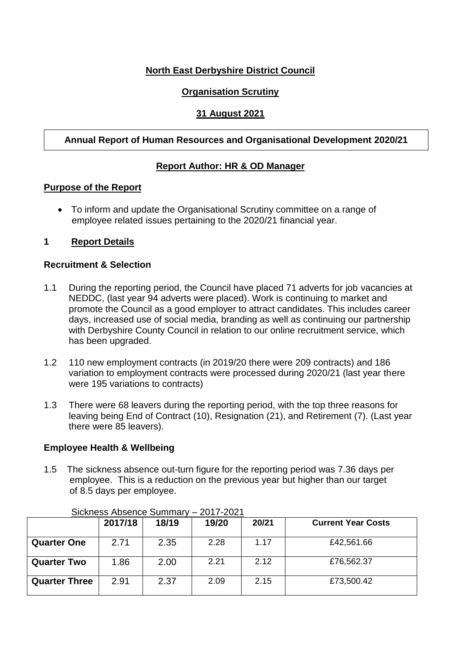# **North East Derbyshire District Council**

#### **Organisation Scrutiny**

#### **31 August 2021**

#### **Annual Report of Human Resources and Organisational Development 2020/21**

#### **Report Author: HR & OD Manager**

#### **Purpose of the Report**

 To inform and update the Organisational Scrutiny committee on a range of employee related issues pertaining to the 2020/21 financial year.

#### **1 Report Details**

#### **Recruitment & Selection**

- 1.1 During the reporting period, the Council have placed 71 adverts for job vacancies at NEDDC, (last year 94 adverts were placed). Work is continuing to market and promote the Council as a good employer to attract candidates. This includes career days, increased use of social media, branding as well as continuing our partnership with Derbyshire County Council in relation to our online recruitment service, which has been upgraded.
- 1.2 110 new employment contracts (in 2019/20 there were 209 contracts) and 186 variation to employment contracts were processed during 2020/21 (last year there were 195 variations to contracts)
- 1.3 There were 68 leavers during the reporting period, with the top three reasons for leaving being End of Contract (10), Resignation (21), and Retirement (7). (Last year there were 85 leavers).

#### **Employee Health & Wellbeing**

1.5 The sickness absence out-turn figure for the reporting period was 7.36 days per employee. This is a reduction on the previous year but higher than our target of 8.5 days per employee.

|                      | 2017/18 | 18/19 | 19/20 | 20/21 | <b>Current Year Costs</b> |
|----------------------|---------|-------|-------|-------|---------------------------|
| <b>Quarter One</b>   | 2.71    | 2.35  | 2.28  | 1.17  | £42,561.66                |
| <b>Quarter Two</b>   | 1.86    | 2.00  | 2.21  | 2.12  | £76,562.37                |
| <b>Quarter Three</b> | 2.91    | 2.37  | 2.09  | 2.15  | £73,500.42                |

#### Sickness Absence Summary – 2017-2021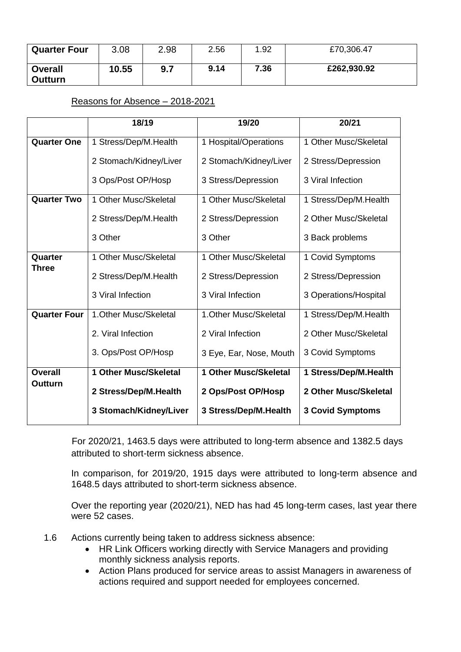| <b>Quarter Four</b>       | 3.08  | 2.98 | 2.56 | 1.92 | £70,306.47  |
|---------------------------|-------|------|------|------|-------------|
| <b>Overall</b><br>Outturn | 10.55 | 9.7  | 9.14 | 7.36 | £262,930.92 |

#### Reasons for Absence – 2018-2021

|                     | 18/19                  | 19/20                   | 20/21                   |
|---------------------|------------------------|-------------------------|-------------------------|
| <b>Quarter One</b>  | 1 Stress/Dep/M.Health  | 1 Hospital/Operations   | 1 Other Musc/Skeletal   |
|                     | 2 Stomach/Kidney/Liver | 2 Stomach/Kidney/Liver  | 2 Stress/Depression     |
|                     | 3 Ops/Post OP/Hosp     | 3 Stress/Depression     | 3 Viral Infection       |
| <b>Quarter Two</b>  | 1 Other Musc/Skeletal  | 1 Other Musc/Skeletal   | 1 Stress/Dep/M.Health   |
|                     | 2 Stress/Dep/M.Health  | 2 Stress/Depression     | 2 Other Musc/Skeletal   |
|                     | 3 Other                | 3 Other                 | 3 Back problems         |
| Quarter             | 1 Other Musc/Skeletal  | 1 Other Musc/Skeletal   | 1 Covid Symptoms        |
| <b>Three</b>        | 2 Stress/Dep/M.Health  | 2 Stress/Depression     | 2 Stress/Depression     |
|                     | 3 Viral Infection      | 3 Viral Infection       | 3 Operations/Hospital   |
| <b>Quarter Four</b> | 1. Other Musc/Skeletal | 1. Other Musc/Skeletal  | 1 Stress/Dep/M.Health   |
|                     | 2. Viral Infection     | 2 Viral Infection       | 2 Other Musc/Skeletal   |
|                     | 3. Ops/Post OP/Hosp    | 3 Eye, Ear, Nose, Mouth | 3 Covid Symptoms        |
| <b>Overall</b>      | 1 Other Musc/Skeletal  | 1 Other Musc/Skeletal   | 1 Stress/Dep/M.Health   |
| Outturn             | 2 Stress/Dep/M.Health  | 2 Ops/Post OP/Hosp      | 2 Other Musc/Skeletal   |
|                     | 3 Stomach/Kidney/Liver | 3 Stress/Dep/M.Health   | <b>3 Covid Symptoms</b> |

For 2020/21, 1463.5 days were attributed to long-term absence and 1382.5 days attributed to short-term sickness absence.

In comparison, for 2019/20, 1915 days were attributed to long-term absence and 1648.5 days attributed to short-term sickness absence.

Over the reporting year (2020/21), NED has had 45 long-term cases, last year there were 52 cases.

- 1.6 Actions currently being taken to address sickness absence:
	- HR Link Officers working directly with Service Managers and providing monthly sickness analysis reports.
	- Action Plans produced for service areas to assist Managers in awareness of actions required and support needed for employees concerned.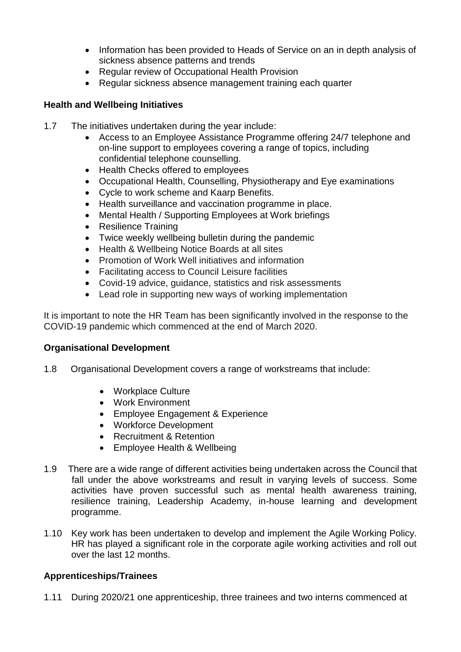- Information has been provided to Heads of Service on an in depth analysis of sickness absence patterns and trends
- Regular review of Occupational Health Provision
- Regular sickness absence management training each quarter

## **Health and Wellbeing Initiatives**

- 1.7 The initiatives undertaken during the year include:
	- Access to an Employee Assistance Programme offering 24/7 telephone and on-line support to employees covering a range of topics, including confidential telephone counselling.
	- Health Checks offered to employees
	- Occupational Health, Counselling, Physiotherapy and Eye examinations
	- Cycle to work scheme and Kaarp Benefits.
	- Health surveillance and vaccination programme in place.
	- Mental Health / Supporting Employees at Work briefings
	- Resilience Training
	- Twice weekly wellbeing bulletin during the pandemic
	- Health & Wellbeing Notice Boards at all sites
	- Promotion of Work Well initiatives and information
	- Facilitating access to Council Leisure facilities
	- Covid-19 advice, guidance, statistics and risk assessments
	- Lead role in supporting new ways of working implementation

It is important to note the HR Team has been significantly involved in the response to the COVID-19 pandemic which commenced at the end of March 2020.

## **Organisational Development**

- 1.8 Organisational Development covers a range of workstreams that include:
	- Workplace Culture
	- Work Environment
	- Employee Engagement & Experience
	- Workforce Development
	- Recruitment & Retention
	- Employee Health & Wellbeing
- 1.9 There are a wide range of different activities being undertaken across the Council that fall under the above workstreams and result in varying levels of success. Some activities have proven successful such as mental health awareness training, resilience training, Leadership Academy, in-house learning and development programme.
- 1.10 Key work has been undertaken to develop and implement the Agile Working Policy. HR has played a significant role in the corporate agile working activities and roll out over the last 12 months.

## **Apprenticeships/Trainees**

1.11 During 2020/21 one apprenticeship, three trainees and two interns commenced at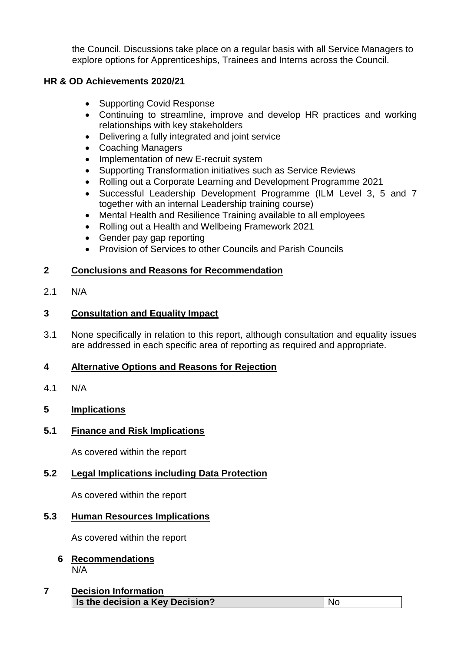the Council. Discussions take place on a regular basis with all Service Managers to explore options for Apprenticeships, Trainees and Interns across the Council.

## **HR & OD Achievements 2020/21**

- Supporting Covid Response
- Continuing to streamline, improve and develop HR practices and working relationships with key stakeholders
- Delivering a fully integrated and joint service
- Coaching Managers
- Implementation of new E-recruit system
- Supporting Transformation initiatives such as Service Reviews
- Rolling out a Corporate Learning and Development Programme 2021
- Successful Leadership Development Programme (ILM Level 3, 5 and 7 together with an internal Leadership training course)
- Mental Health and Resilience Training available to all employees
- Rolling out a Health and Wellbeing Framework 2021
- Gender pay gap reporting
- Provision of Services to other Councils and Parish Councils

## **2 Conclusions and Reasons for Recommendation**

2.1 N/A

## **3 Consultation and Equality Impact**

3.1 None specifically in relation to this report, although consultation and equality issues are addressed in each specific area of reporting as required and appropriate.

## **4 Alternative Options and Reasons for Rejection**

4.1 N/A

# **5 Implications**

## **5.1 Finance and Risk Implications**

As covered within the report

# **5.2 Legal Implications including Data Protection**

As covered within the report

## **5.3 Human Resources Implications**

As covered within the report

#### **6 Recommendations** N/A

**7 Decision Information Is the decision a Key Decision?** No